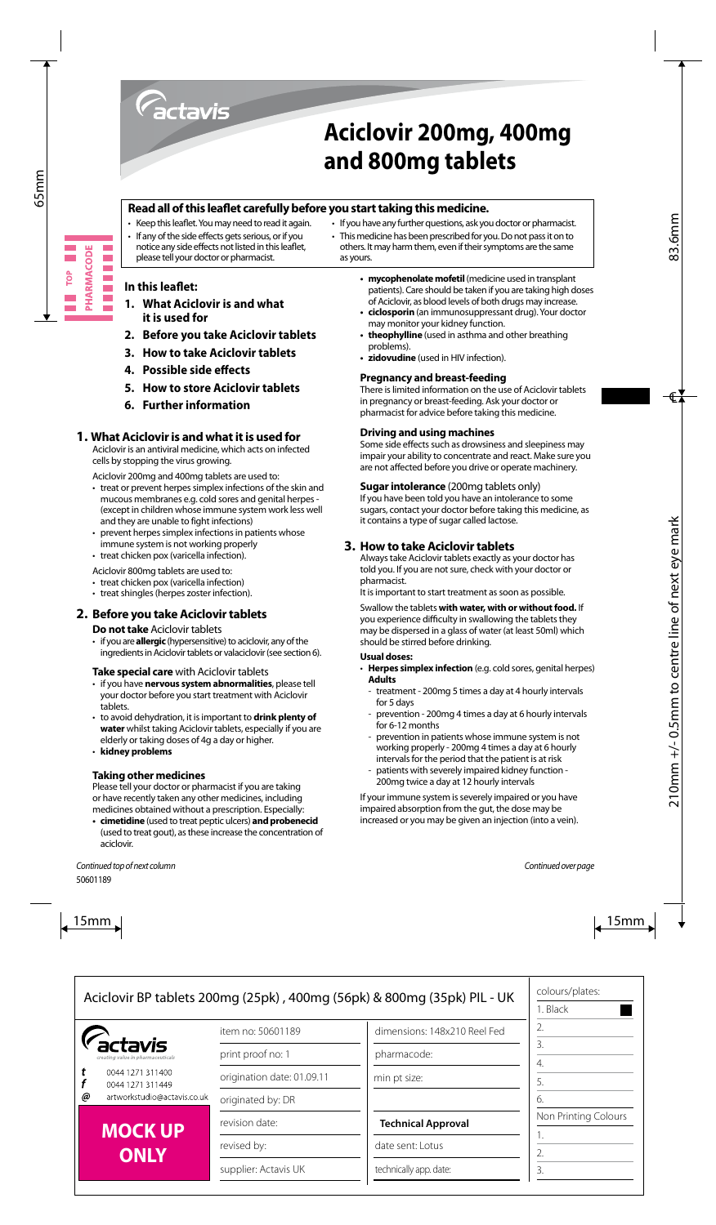

# **Aciclovir 200mg, 400mg and 800mg tablets**

## **Read all of this leaflet carefully before you start taking this medicine.**

- Keep this leaflet. You may need to read it again.
- If any of the side effects gets serious, or if you notice any side effects not listed in this leaflet. please tell your doctor or pharmacist.

## others. It may harm them, even if their symptoms are the same as yours.

• If you have any further questions, ask you doctor or pharmacist. • This medicine has been prescribed for you. Do not pass it on to

## **In this leaflet:**

- **1. What Aciclovir is and what it is used for**
- **2. Before you take Aciclovir tablets**
- **3. How to take Aciclovir tablets**
- **4. Possible side effects**
- **5. How to store Aciclovir tablets**
- **6. Further information**

## **1. What Aciclovir is and what it is used for**

Aciclovir is an antiviral medicine, which acts on infected cells by stopping the virus growing.

Aciclovir 200mg and 400mg tablets are used to:

- $\cdot$  treat or prevent herpes simplex infections of the skin and mucous membranes e.g. cold sores and genital herpes - (except in children whose immune system work less well and they are unable to fight infections)
- prevent herpes simplex infections in patients whose immune system is not working properly
- treat chicken pox (varicella infection).

Aciclovir 800mg tablets are used to:

- treat chicken pox (varicella infection)
- treat shingles (herpes zoster infection).

## **2. Before you take Aciclovir tablets**

#### **Do not take** Aciclovir tablets

• if youare**allergic** (hypersensitive) to aciclovir, any of the ingredients in Aciclovir tablets or valaciclovir (see section 6).

#### **Take special care** with Aciclovir tablets

- • if you have **nervous system abnormalities**, please tell your doctor before you start treatment with Aciclovir tablets.
- • to avoid dehydration, it isimportant to **drink plenty of water** whilst taking Aciclovir tablets, especially if you are elderly or taking doses of 4g a day or higher.
- • **kidney problems**

## **Taking other medicines**

Please tell your doctor or pharmacist if you are taking or have recently taken any other medicines, including medicines obtained without a prescription. Especially:

**• cimetidine** (used to treat peptic ulcers) **and probenecid** (used to treat gout), as these increase the concentration of aciclovir.

- **mycophenolate mofetil** (medicine used in transplant patients). Care should be taken if you are taking high doses of Aciclovir, as blood levels of both drugs may increase.
- **ciclosporin** (an immunosuppressant drug). Your doctor may monitor your kidney function.
- **theophylline** (used in asthma and other breathing problems).
- **• zidovudine** (used in HIV infection).

## **Pregnancy and breast-feeding**

There is limited information on the use of Aciclovir tablets in pregnancy or breast-feeding. Ask your doctor or pharmacist for advice before taking this medicine.

#### **Driving and using machines**

Some side effects such as drowsiness and sleepiness may impair your ability to concentrate and react. Make sure you are not affected before you drive or operate machinery.

## **Sugar intolerance** (200mg tablets only)

If you have been told you have an intolerance to some sugars, contact your doctor before taking this medicine, as it contains a type of sugar called lactose.

## **3. How to take Aciclovir tablets**

Always take Aciclovir tablets exactly as your doctor has told you. If you are not sure, check with your doctor or pharmacist.

It is important to start treatment as soon as possible.

Swallow the tablets **with water, with or without food.** If you experience difficulty in swallowing the tablets they may be dispersed in a glass of water (at least 50ml) which should be stirred before drinking.

#### **Usual doses:**

- • **Herpes simplex infection** (e.g. cold sores, genital herpes) **Adults**
	- treatment 200mg 5 times a day at 4 hourly intervals for 5 days
	- prevention 200mg 4 times a day at 6 hourly intervals for 6-12 months
	- prevention in patients whose immune system is not working properly - 200mg 4 times a day at 6 hourly intervals for the period that the patient is at risk
	- patients with severely impaired kidney function -200mg twice a day at 12 hourly intervals

If your immune system is severely impaired or you have impaired absorption from the gut, the dose may be increased or you may be given an injection (into a vein).

**PHARMACODE** E Ξ